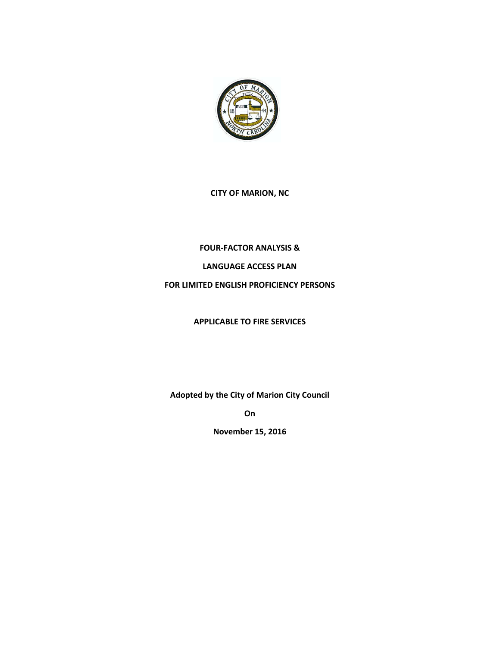

### **CITY OF MARION, NC**

# **FOUR-FACTOR ANALYSIS &**

# **LANGUAGE ACCESS PLAN**

# **FOR LIMITED ENGLISH PROFICIENCY PERSONS**

### **APPLICABLE TO FIRE SERVICES**

**Adopted by the City of Marion City Council**

**On** 

**November 15, 2016**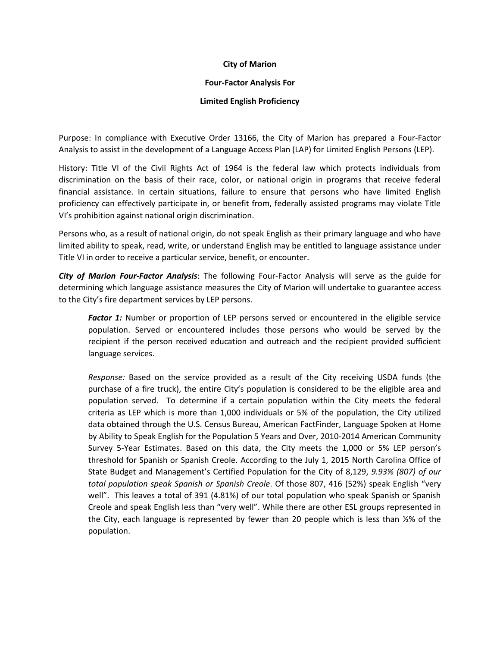### **City of Marion**

#### **Four-Factor Analysis For**

#### **Limited English Proficiency**

Purpose: In compliance with Executive Order 13166, the City of Marion has prepared a Four-Factor Analysis to assist in the development of a Language Access Plan (LAP) for Limited English Persons (LEP).

History: Title VI of the Civil Rights Act of 1964 is the federal law which protects individuals from discrimination on the basis of their race, color, or national origin in programs that receive federal financial assistance. In certain situations, failure to ensure that persons who have limited English proficiency can effectively participate in, or benefit from, federally assisted programs may violate Title VI's prohibition against national origin discrimination.

Persons who, as a result of national origin, do not speak English as their primary language and who have limited ability to speak, read, write, or understand English may be entitled to language assistance under Title VI in order to receive a particular service, benefit, or encounter.

*City of Marion Four-Factor Analysis*: The following Four-Factor Analysis will serve as the guide for determining which language assistance measures the City of Marion will undertake to guarantee access to the City's fire department services by LEP persons.

**Factor 1:** Number or proportion of LEP persons served or encountered in the eligible service population. Served or encountered includes those persons who would be served by the recipient if the person received education and outreach and the recipient provided sufficient language services.

*Response:* Based on the service provided as a result of the City receiving USDA funds (the purchase of a fire truck), the entire City's population is considered to be the eligible area and population served. To determine if a certain population within the City meets the federal criteria as LEP which is more than 1,000 individuals or 5% of the population, the City utilized data obtained through the U.S. Census Bureau, American FactFinder, Language Spoken at Home by Ability to Speak English for the Population 5 Years and Over, 2010-2014 American Community Survey 5-Year Estimates. Based on this data, the City meets the 1,000 or 5% LEP person's threshold for Spanish or Spanish Creole. According to the July 1, 2015 North Carolina Office of State Budget and Management's Certified Population for the City of 8,129, *9.93% (807) of our total population speak Spanish or Spanish Creole*. Of those 807, 416 (52%) speak English "very well". This leaves a total of 391 (4.81%) of our total population who speak Spanish or Spanish Creole and speak English less than "very well". While there are other ESL groups represented in the City, each language is represented by fewer than 20 people which is less than ½% of the population.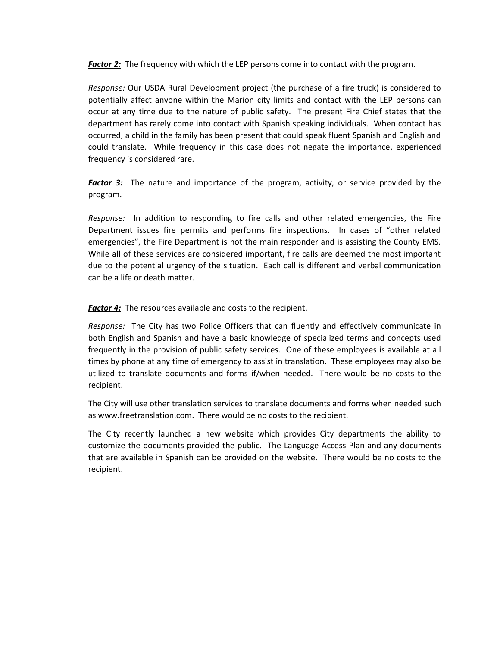*Factor 2:* The frequency with which the LEP persons come into contact with the program.

*Response:* Our USDA Rural Development project (the purchase of a fire truck) is considered to potentially affect anyone within the Marion city limits and contact with the LEP persons can occur at any time due to the nature of public safety. The present Fire Chief states that the department has rarely come into contact with Spanish speaking individuals. When contact has occurred, a child in the family has been present that could speak fluent Spanish and English and could translate. While frequency in this case does not negate the importance, experienced frequency is considered rare.

*Factor 3:* The nature and importance of the program, activity, or service provided by the program.

*Response:* In addition to responding to fire calls and other related emergencies, the Fire Department issues fire permits and performs fire inspections. In cases of "other related emergencies", the Fire Department is not the main responder and is assisting the County EMS. While all of these services are considered important, fire calls are deemed the most important due to the potential urgency of the situation. Each call is different and verbal communication can be a life or death matter.

*Factor 4:* The resources available and costs to the recipient.

*Response:* The City has two Police Officers that can fluently and effectively communicate in both English and Spanish and have a basic knowledge of specialized terms and concepts used frequently in the provision of public safety services. One of these employees is available at all times by phone at any time of emergency to assist in translation. These employees may also be utilized to translate documents and forms if/when needed. There would be no costs to the recipient.

The City will use other translation services to translate documents and forms when needed such as www.freetranslation.com. There would be no costs to the recipient.

The City recently launched a new website which provides City departments the ability to customize the documents provided the public. The Language Access Plan and any documents that are available in Spanish can be provided on the website. There would be no costs to the recipient.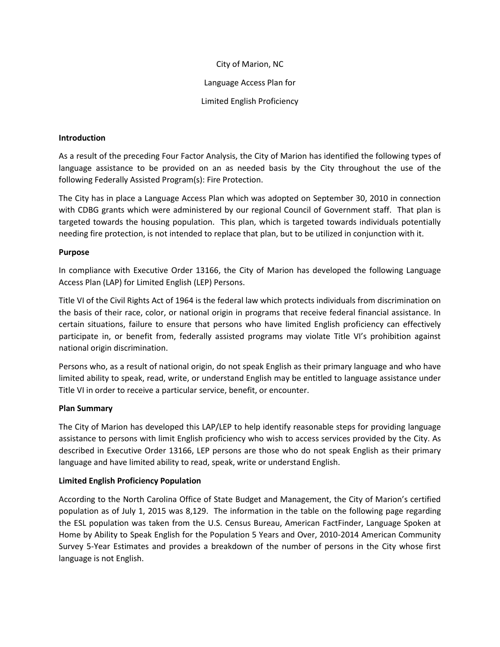### City of Marion, NC

Language Access Plan for

Limited English Proficiency

### **Introduction**

As a result of the preceding Four Factor Analysis, the City of Marion has identified the following types of language assistance to be provided on an as needed basis by the City throughout the use of the following Federally Assisted Program(s): Fire Protection.

The City has in place a Language Access Plan which was adopted on September 30, 2010 in connection with CDBG grants which were administered by our regional Council of Government staff. That plan is targeted towards the housing population. This plan, which is targeted towards individuals potentially needing fire protection, is not intended to replace that plan, but to be utilized in conjunction with it.

# **Purpose**

In compliance with Executive Order 13166, the City of Marion has developed the following Language Access Plan (LAP) for Limited English (LEP) Persons.

Title VI of the Civil Rights Act of 1964 is the federal law which protects individuals from discrimination on the basis of their race, color, or national origin in programs that receive federal financial assistance. In certain situations, failure to ensure that persons who have limited English proficiency can effectively participate in, or benefit from, federally assisted programs may violate Title VI's prohibition against national origin discrimination.

Persons who, as a result of national origin, do not speak English as their primary language and who have limited ability to speak, read, write, or understand English may be entitled to language assistance under Title VI in order to receive a particular service, benefit, or encounter.

# **Plan Summary**

The City of Marion has developed this LAP/LEP to help identify reasonable steps for providing language assistance to persons with limit English proficiency who wish to access services provided by the City. As described in Executive Order 13166, LEP persons are those who do not speak English as their primary language and have limited ability to read, speak, write or understand English.

# **Limited English Proficiency Population**

According to the North Carolina Office of State Budget and Management, the City of Marion's certified population as of July 1, 2015 was 8,129. The information in the table on the following page regarding the ESL population was taken from the U.S. Census Bureau, American FactFinder, Language Spoken at Home by Ability to Speak English for the Population 5 Years and Over, 2010-2014 American Community Survey 5-Year Estimates and provides a breakdown of the number of persons in the City whose first language is not English.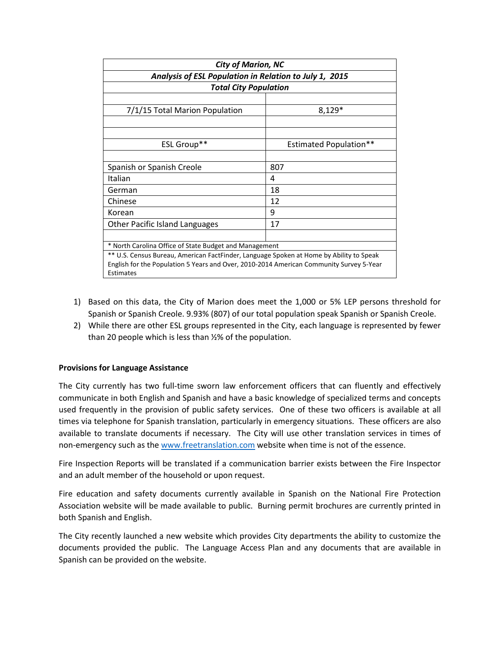| <b>City of Marion, NC</b><br>Analysis of ESL Population in Relation to July 1, 2015     |                               |
|-----------------------------------------------------------------------------------------|-------------------------------|
|                                                                                         |                               |
|                                                                                         |                               |
| 7/1/15 Total Marion Population                                                          | $8,129*$                      |
|                                                                                         |                               |
|                                                                                         |                               |
| ESL Group**                                                                             | <b>Estimated Population**</b> |
|                                                                                         |                               |
| Spanish or Spanish Creole                                                               | 807                           |
| Italian                                                                                 | 4                             |
| German                                                                                  | 18                            |
| Chinese                                                                                 | 12                            |
| Korean                                                                                  | 9                             |
| <b>Other Pacific Island Languages</b>                                                   | 17                            |
|                                                                                         |                               |
| * North Carolina Office of State Budget and Management                                  |                               |
| ** U.S. Census Bureau, American FactFinder, Language Spoken at Home by Ability to Speak |                               |
| English for the Population 5 Years and Over, 2010-2014 American Community Survey 5-Year |                               |
| Estimates                                                                               |                               |

- 1) Based on this data, the City of Marion does meet the 1,000 or 5% LEP persons threshold for Spanish or Spanish Creole. 9.93% (807) of our total population speak Spanish or Spanish Creole.
- 2) While there are other ESL groups represented in the City, each language is represented by fewer than 20 people which is less than ½% of the population.

### **Provisions for Language Assistance**

The City currently has two full-time sworn law enforcement officers that can fluently and effectively communicate in both English and Spanish and have a basic knowledge of specialized terms and concepts used frequently in the provision of public safety services. One of these two officers is available at all times via telephone for Spanish translation, particularly in emergency situations. These officers are also available to translate documents if necessary. The City will use other translation services in times of non-emergency such as the [www.freetranslation.com](http://www.freetranslation.com/) website when time is not of the essence.

Fire Inspection Reports will be translated if a communication barrier exists between the Fire Inspector and an adult member of the household or upon request.

Fire education and safety documents currently available in Spanish on the National Fire Protection Association website will be made available to public. Burning permit brochures are currently printed in both Spanish and English.

The City recently launched a new website which provides City departments the ability to customize the documents provided the public. The Language Access Plan and any documents that are available in Spanish can be provided on the website.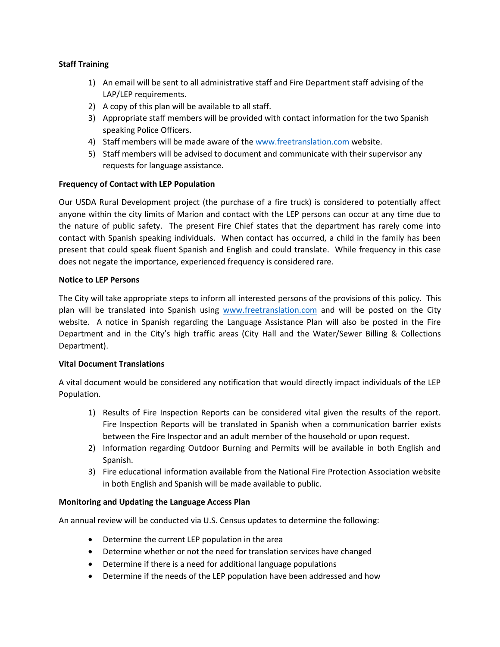### **Staff Training**

- 1) An email will be sent to all administrative staff and Fire Department staff advising of the LAP/LEP requirements.
- 2) A copy of this plan will be available to all staff.
- 3) Appropriate staff members will be provided with contact information for the two Spanish speaking Police Officers.
- 4) Staff members will be made aware of the [www.freetranslation.com](http://www.freetranslation.com/) website.
- 5) Staff members will be advised to document and communicate with their supervisor any requests for language assistance.

# **Frequency of Contact with LEP Population**

Our USDA Rural Development project (the purchase of a fire truck) is considered to potentially affect anyone within the city limits of Marion and contact with the LEP persons can occur at any time due to the nature of public safety. The present Fire Chief states that the department has rarely come into contact with Spanish speaking individuals. When contact has occurred, a child in the family has been present that could speak fluent Spanish and English and could translate. While frequency in this case does not negate the importance, experienced frequency is considered rare.

### **Notice to LEP Persons**

The City will take appropriate steps to inform all interested persons of the provisions of this policy. This plan will be translated into Spanish using [www.freetranslation.com](http://www.freetranslation.com/) and will be posted on the City website. A notice in Spanish regarding the Language Assistance Plan will also be posted in the Fire Department and in the City's high traffic areas (City Hall and the Water/Sewer Billing & Collections Department).

### **Vital Document Translations**

A vital document would be considered any notification that would directly impact individuals of the LEP Population.

- 1) Results of Fire Inspection Reports can be considered vital given the results of the report. Fire Inspection Reports will be translated in Spanish when a communication barrier exists between the Fire Inspector and an adult member of the household or upon request.
- 2) Information regarding Outdoor Burning and Permits will be available in both English and Spanish.
- 3) Fire educational information available from the National Fire Protection Association website in both English and Spanish will be made available to public.

### **Monitoring and Updating the Language Access Plan**

An annual review will be conducted via U.S. Census updates to determine the following:

- Determine the current LEP population in the area
- Determine whether or not the need for translation services have changed
- Determine if there is a need for additional language populations
- Determine if the needs of the LEP population have been addressed and how